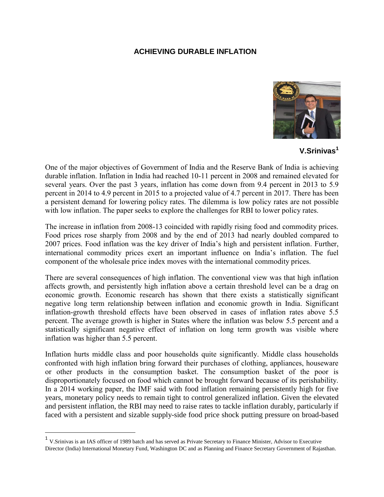## **ACHIEVING DURABLE INFLATION**



**V.Srinivas<sup>1</sup>**

One of the major objectives of Government of India and the Reserve Bank of India is achieving durable inflation. Inflation in India had reached 10-11 percent in 2008 and remained elevated for several years. Over the past 3 years, inflation has come down from 9.4 percent in 2013 to 5.9 percent in 2014 to 4.9 percent in 2015 to a projected value of 4.7 percent in 2017. There has been a persistent demand for lowering policy rates. The dilemma is low policy rates are not possible with low inflation. The paper seeks to explore the challenges for RBI to lower policy rates.

The increase in inflation from 2008-13 coincided with rapidly rising food and commodity prices. Food prices rose sharply from 2008 and by the end of 2013 had nearly doubled compared to 2007 prices. Food inflation was the key driver of India's high and persistent inflation. Further, international commodity prices exert an important influence on India's inflation. The fuel component of the wholesale price index moves with the international commodity prices.

There are several consequences of high inflation. The conventional view was that high inflation affects growth, and persistently high inflation above a certain threshold level can be a drag on economic growth. Economic research has shown that there exists a statistically significant negative long term relationship between inflation and economic growth in India. Significant inflation-growth threshold effects have been observed in cases of inflation rates above 5.5 percent. The average growth is higher in States where the inflation was below 5.5 percent and a statistically significant negative effect of inflation on long term growth was visible where inflation was higher than 5.5 percent.

Inflation hurts middle class and poor households quite significantly. Middle class households confronted with high inflation bring forward their purchases of clothing, appliances, houseware or other products in the consumption basket. The consumption basket of the poor is disproportionately focused on food which cannot be brought forward because of its perishability. In a 2014 working paper, the IMF said with food inflation remaining persistently high for five years, monetary policy needs to remain tight to control generalized inflation. Given the elevated and persistent inflation, the RBI may need to raise rates to tackle inflation durably, particularly if faced with a persistent and sizable supply-side food price shock putting pressure on broad-based

 $\overline{a}$ 

<sup>&</sup>lt;sup>1</sup> V.Srinivas is an IAS officer of 1989 batch and has served as Private Secretary to Finance Minister, Advisor to Executive Director (India) International Monetary Fund, Washington DC and as Planning and Finance Secretary Government of Rajasthan.